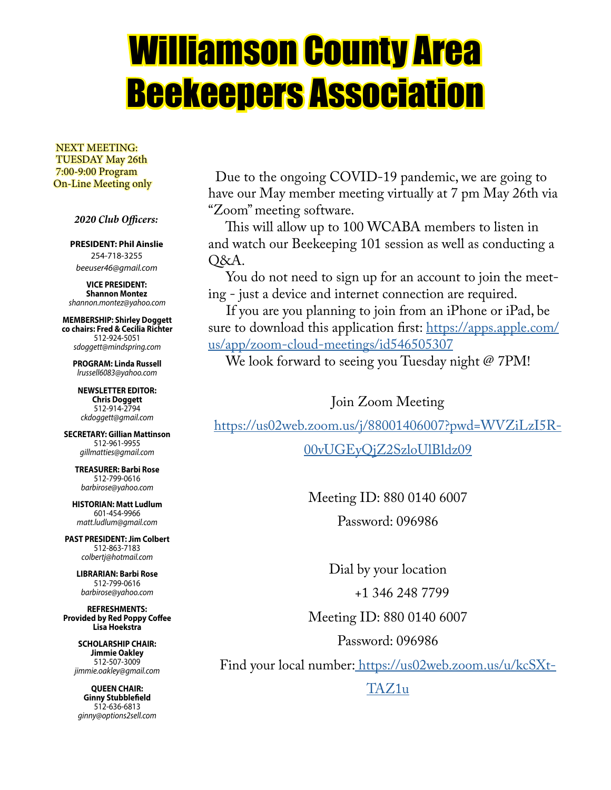# Williamson County Area Beekeepers Association

 NEXT MEETING: TUESDAY May 26th 7:00-9:00 Program On-Line Meeting only

 *2020 Club Officers:*

**PRESIDENT: Phil Ainslie** 254-718-3255 *beeuser46@gmail.com*

**VICE PRESIDENT: Shannon Montez** *shannon.montez@yahoo.com*

**MEMBERSHIP: Shirley Doggett co chairs: Fred & Cecilia Richter** 512-924-5051 *sdoggett@mindspring.com*

**PROGRAM: Linda Russell** *lrussell6083@yahoo.com*

**NEWSLETTER EDITOR: Chris Doggett** 512-914-2794 *ckdoggett@gmail.com*

**SECRETARY: Gillian Mattinson** 512-961-9955 *gillmatties@gmail.com*

**TREASURER: Barbi Rose** 512-799-0616 *barbirose@yahoo.com*

**HISTORIAN: Matt Ludlum** 601-454-9966 *matt.ludlum@gmail.com*

**PAST PRESIDENT: Jim Colbert** 512-863-7183 *colbertj@hotmail.com*

**LIBRARIAN: Barbi Rose** 512-799-0616 *barbirose@yahoo.com*

**REFRESHMENTS: Provided by Red Poppy Coffee Lisa Hoekstra**

> **SCHOLARSHIP CHAIR: Jimmie Oakley** 512-507-3009 *jimmie.oakley@gmail.com*

**QUEEN CHAIR: Ginny Stubblefield** 512-636-6813 *ginny@options2sell.com*

 Due to the ongoing COVID-19 pandemic, we are going to have our May member meeting virtually at 7 pm May 26th via "Zoom" meeting software.

 This will allow up to 100 WCABA members to listen in and watch our Beekeeping 101 session as well as conducting a Q&A.

 You do not need to sign up for an account to join the meeting - just a device and internet connection are required.

 If you are you planning to join from an iPhone or iPad, be sure to download this application first: https://apps.apple.com/ us/app/zoom-cloud-meetings/id546505307

We look forward to seeing you Tuesday night @ 7PM!

Join Zoom Meeting

https://us02web.zoom.us/j/88001406007?pwd=WVZiLzI5R-

00vUGEyQjZ2SzloUlBldz09

Meeting ID: 880 0140 6007 Password: 096986

Dial by your location +1 346 248 7799 Meeting ID: 880 0140 6007

Password: 096986

Find your local number: https://us02web.zoom.us/u/kcSXt-

TAZ1u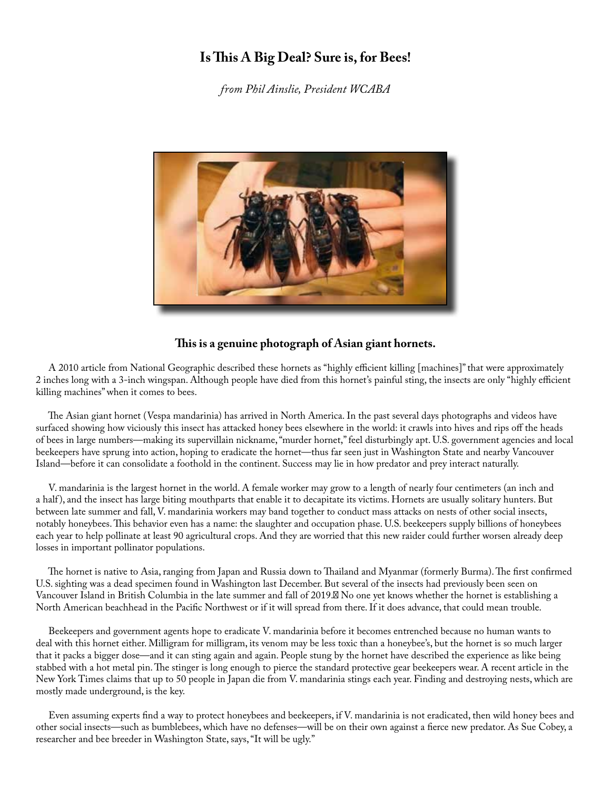# **Is This A Big Deal? Sure is, for Bees!**

*from Phil Ainslie, President WCABA*



#### **This is a genuine photograph of Asian giant hornets.**

 A 2010 article from National Geographic described these hornets as "highly efficient killing [machines]" that were approximately 2 inches long with a 3-inch wingspan. Although people have died from this hornet's painful sting, the insects are only "highly efficient killing machines" when it comes to bees.

 The Asian giant hornet (Vespa mandarinia) has arrived in North America. In the past several days photographs and videos have surfaced showing how viciously this insect has attacked honey bees elsewhere in the world: it crawls into hives and rips off the heads of bees in large numbers—making its supervillain nickname, "murder hornet," feel disturbingly apt. U.S. government agencies and local beekeepers have sprung into action, hoping to eradicate the hornet—thus far seen just in Washington State and nearby Vancouver Island—before it can consolidate a foothold in the continent. Success may lie in how predator and prey interact naturally.

 V. mandarinia is the largest hornet in the world. A female worker may grow to a length of nearly four centimeters (an inch and a half ), and the insect has large biting mouthparts that enable it to decapitate its victims. Hornets are usually solitary hunters. But between late summer and fall, V. mandarinia workers may band together to conduct mass attacks on nests of other social insects, notably honeybees. This behavior even has a name: the slaughter and occupation phase. U.S. beekeepers supply billions of honeybees each year to help pollinate at least 90 agricultural crops. And they are worried that this new raider could further worsen already deep losses in important pollinator populations.

 The hornet is native to Asia, ranging from Japan and Russia down to Thailand and Myanmar (formerly Burma). The first confirmed U.S. sighting was a dead specimen found in Washington last December. But several of the insects had previously been seen on Vancouver Island in British Columbia in the late summer and fall of 2019. No one yet knows whether the hornet is establishing a North American beachhead in the Pacific Northwest or if it will spread from there. If it does advance, that could mean trouble.

 Beekeepers and government agents hope to eradicate V. mandarinia before it becomes entrenched because no human wants to deal with this hornet either. Milligram for milligram, its venom may be less toxic than a honeybee's, but the hornet is so much larger that it packs a bigger dose—and it can sting again and again. People stung by the hornet have described the experience as like being stabbed with a hot metal pin. The stinger is long enough to pierce the standard protective gear beekeepers wear. A recent article in the New York Times claims that up to 50 people in Japan die from V. mandarinia stings each year. Finding and destroying nests, which are mostly made underground, is the key.

 Even assuming experts find a way to protect honeybees and beekeepers, if V. mandarinia is not eradicated, then wild honey bees and other social insects—such as bumblebees, which have no defenses—will be on their own against a fierce new predator. As Sue Cobey, a researcher and bee breeder in Washington State, says, "It will be ugly."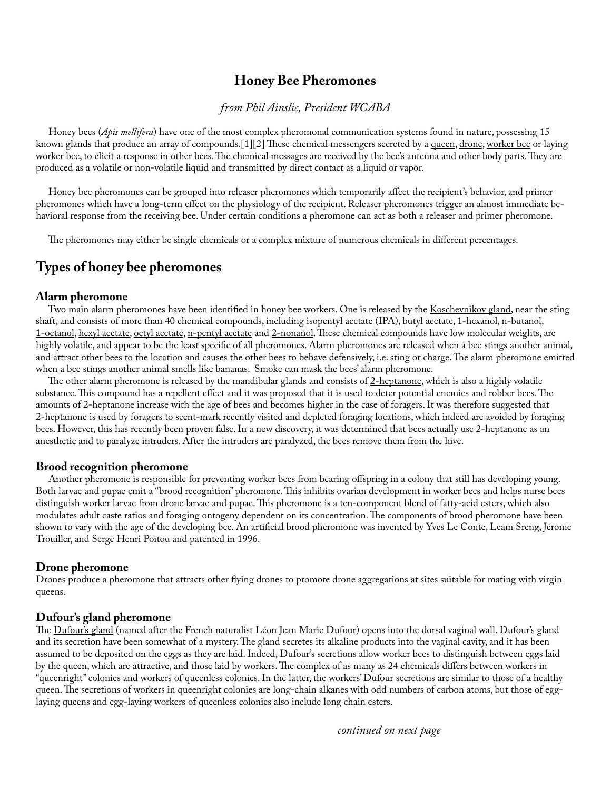# **Honey Bee Pheromones**

## *from Phil Ainslie, President WCABA*

Honey bees (*Apis mellifera*) have one of the most complex pheromonal communication systems found in nature, possessing 15 known glands that produce an array of compounds.[1][2] These chemical messengers secreted by a queen, drone, worker bee or laying worker bee, to elicit a response in other bees. The chemical messages are received by the bee's antenna and other body parts. They are produced as a volatile or non-volatile liquid and transmitted by direct contact as a liquid or vapor.

 Honey bee pheromones can be grouped into releaser pheromones which temporarily affect the recipient's behavior, and primer pheromones which have a long-term effect on the physiology of the recipient. Releaser pheromones trigger an almost immediate behavioral response from the receiving bee. Under certain conditions a pheromone can act as both a releaser and primer pheromone.

The pheromones may either be single chemicals or a complex mixture of numerous chemicals in different percentages.

# **Types of honey bee pheromones**

#### **Alarm pheromone**

Two main alarm pheromones have been identified in honey bee workers. One is released by the Koschevnikov gland, near the sting shaft, and consists of more than 40 chemical compounds, including isopentyl acetate (IPA), butyl acetate, 1-hexanol, n-butanol, 1-octanol, hexyl acetate, octyl acetate, n-pentyl acetate and 2-nonanol. These chemical compounds have low molecular weights, are highly volatile, and appear to be the least specific of all pheromones. Alarm pheromones are released when a bee stings another animal, and attract other bees to the location and causes the other bees to behave defensively, i.e. sting or charge. The alarm pheromone emitted when a bee stings another animal smells like bananas. Smoke can mask the bees' alarm pheromone.

The other alarm pheromone is released by the mandibular glands and consists of 2-heptanone, which is also a highly volatile substance. This compound has a repellent effect and it was proposed that it is used to deter potential enemies and robber bees. The amounts of 2-heptanone increase with the age of bees and becomes higher in the case of foragers. It was therefore suggested that 2-heptanone is used by foragers to scent-mark recently visited and depleted foraging locations, which indeed are avoided by foraging bees. However, this has recently been proven false. In a new discovery, it was determined that bees actually use 2-heptanone as an anesthetic and to paralyze intruders. After the intruders are paralyzed, the bees remove them from the hive.

#### **Brood recognition pheromone**

 Another pheromone is responsible for preventing worker bees from bearing offspring in a colony that still has developing young. Both larvae and pupae emit a "brood recognition" pheromone. This inhibits ovarian development in worker bees and helps nurse bees distinguish worker larvae from drone larvae and pupae. This pheromone is a ten-component blend of fatty-acid esters, which also modulates adult caste ratios and foraging ontogeny dependent on its concentration. The components of brood pheromone have been shown to vary with the age of the developing bee. An artificial brood pheromone was invented by Yves Le Conte, Leam Sreng, Jérome Trouiller, and Serge Henri Poitou and patented in 1996.

#### **Drone pheromone**

Drones produce a pheromone that attracts other flying drones to promote drone aggregations at sites suitable for mating with virgin queens.

#### **Dufour's gland pheromone**

The Dufour's gland (named after the French naturalist Léon Jean Marie Dufour) opens into the dorsal vaginal wall. Dufour's gland and its secretion have been somewhat of a mystery. The gland secretes its alkaline products into the vaginal cavity, and it has been assumed to be deposited on the eggs as they are laid. Indeed, Dufour's secretions allow worker bees to distinguish between eggs laid by the queen, which are attractive, and those laid by workers. The complex of as many as 24 chemicals differs between workers in "queenright" colonies and workers of queenless colonies. In the latter, the workers' Dufour secretions are similar to those of a healthy queen. The secretions of workers in queenright colonies are long-chain alkanes with odd numbers of carbon atoms, but those of egglaying queens and egg-laying workers of queenless colonies also include long chain esters.

*continued on next page*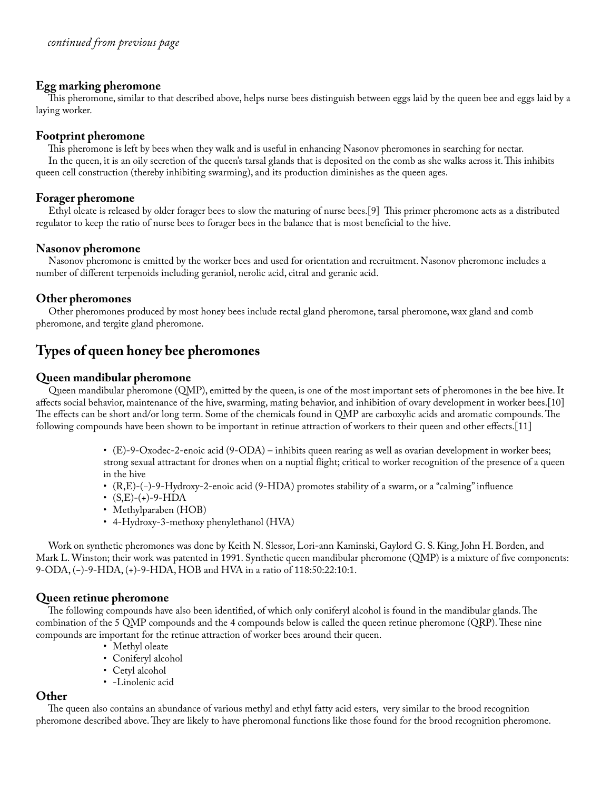# **Egg marking pheromone**

 This pheromone, similar to that described above, helps nurse bees distinguish between eggs laid by the queen bee and eggs laid by a laying worker.

# **Footprint pheromone**

 This pheromone is left by bees when they walk and is useful in enhancing Nasonov pheromones in searching for nectar. In the queen, it is an oily secretion of the queen's tarsal glands that is deposited on the comb as she walks across it. This inhibits queen cell construction (thereby inhibiting swarming), and its production diminishes as the queen ages.

## **Forager pheromone**

 Ethyl oleate is released by older forager bees to slow the maturing of nurse bees.[9] This primer pheromone acts as a distributed regulator to keep the ratio of nurse bees to forager bees in the balance that is most beneficial to the hive.

# **Nasonov pheromone**

 Nasonov pheromone is emitted by the worker bees and used for orientation and recruitment. Nasonov pheromone includes a number of different terpenoids including geraniol, nerolic acid, citral and geranic acid.

# **Other pheromones**

 Other pheromones produced by most honey bees include rectal gland pheromone, tarsal pheromone, wax gland and comb pheromone, and tergite gland pheromone.

# **Types of queen honey bee pheromones**

# **Queen mandibular pheromone**

 Queen mandibular pheromone (QMP), emitted by the queen, is one of the most important sets of pheromones in the bee hive. It affects social behavior, maintenance of the hive, swarming, mating behavior, and inhibition of ovary development in worker bees.[10] The effects can be short and/or long term. Some of the chemicals found in QMP are carboxylic acids and aromatic compounds. The following compounds have been shown to be important in retinue attraction of workers to their queen and other effects.[11]

- (E)-9-Oxodec-2-enoic acid (9-ODA) inhibits queen rearing as well as ovarian development in worker bees; strong sexual attractant for drones when on a nuptial flight; critical to worker recognition of the presence of a queen in the hive
- (R,E)-(−)-9-Hydroxy-2-enoic acid (9-HDA) promotes stability of a swarm, or a "calming" influence
- $(S,E)-(+)$ -9-HDA
- Methylparaben (HOB)
- 4-Hydroxy-3-methoxy phenylethanol (HVA)

 Work on synthetic pheromones was done by Keith N. Slessor, Lori-ann Kaminski, Gaylord G. S. King, John H. Borden, and Mark L. Winston; their work was patented in 1991. Synthetic queen mandibular pheromone (QMP) is a mixture of five components: 9-ODA, (−)-9-HDA, (+)-9-HDA, HOB and HVA in a ratio of 118:50:22:10:1.

#### **Queen retinue pheromone**

 The following compounds have also been identified, of which only coniferyl alcohol is found in the mandibular glands. The combination of the 5 QMP compounds and the 4 compounds below is called the queen retinue pheromone (QRP). These nine compounds are important for the retinue attraction of worker bees around their queen.

- Methyl oleate
- Coniferyl alcohol
- Cetyl alcohol
- -Linolenic acid

# **Other**

 The queen also contains an abundance of various methyl and ethyl fatty acid esters, very similar to the brood recognition pheromone described above. They are likely to have pheromonal functions like those found for the brood recognition pheromone.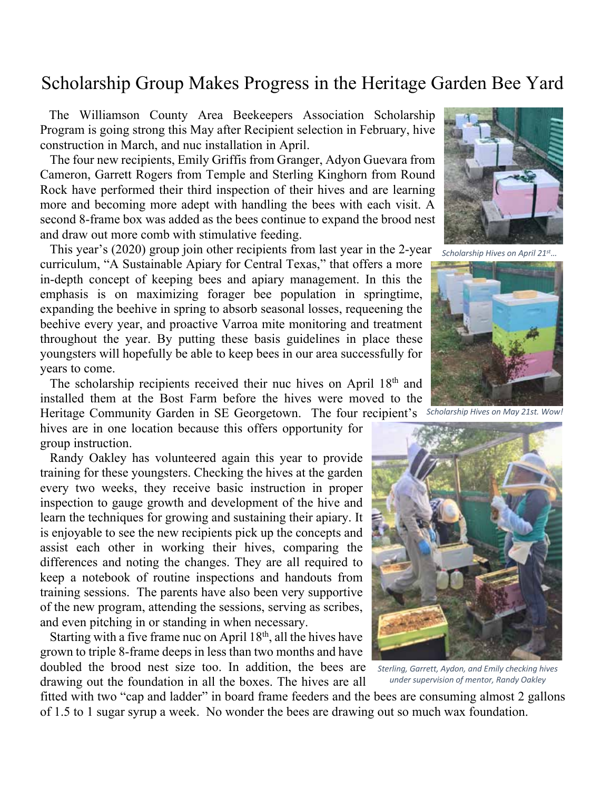# Scholarship Group Makes Progress in the Heritage Garden Bee Yard

 The Williamson County Area Beekeepers Association Scholarship Program is going strong this May after Recipient selection in February, hive construction in March, and nuc installation in April.

 The four new recipients, Emily Griffis from Granger, Adyon Guevara from Cameron, Garrett Rogers from Temple and Sterling Kinghorn from Round Rock have performed their third inspection of their hives and are learning more and becoming more adept with handling the bees with each visit. A second 8-frame box was added as the bees continue to expand the brood nest and draw out more comb with stimulative feeding.

 This year's (2020) group join other recipients from last year in the 2-year curriculum, "A Sustainable Apiary for Central Texas," that offers a more in-depth concept of keeping bees and apiary management. In this the emphasis is on maximizing forager bee population in springtime, expanding the beehive in spring to absorb seasonal losses, requeening the beehive every year, and proactive Varroa mite monitoring and treatment throughout the year. By putting these basis guidelines in place these youngsters will hopefully be able to keep bees in our area successfully for years to come.

The scholarship recipients received their nuc hives on April 18<sup>th</sup> and installed them at the Bost Farm before the hives were moved to the Heritage Community Garden in SE Georgetown. The four recipient's *Scholarship Hives on May 21st. Wow!*

hives are in one location because this offers opportunity for group instruction.

 Randy Oakley has volunteered again this year to provide training for these youngsters. Checking the hives at the garden every two weeks, they receive basic instruction in proper inspection to gauge growth and development of the hive and learn the techniques for growing and sustaining their apiary. It is enjoyable to see the new recipients pick up the concepts and assist each other in working their hives, comparing the differences and noting the changes. They are all required to keep a notebook of routine inspections and handouts from training sessions. The parents have also been very supportive of the new program, attending the sessions, serving as scribes, and even pitching in or standing in when necessary.

Starting with a five frame nuc on April 18<sup>th</sup>, all the hives have grown to triple 8-frame deeps in less than two months and have doubled the brood nest size too. In addition, the bees are drawing out the foundation in all the boxes. The hives are all

fitted with two "cap and ladder" in board frame feeders and the bees are consuming almost 2 gallons of 1.5 to 1 sugar syrup a week. No wonder the bees are drawing out so much wax foundation.



*Scholarship Hives on April 21st…*





*Sterling, Garrett, Aydon, and Emily checking hives under supervision of mentor, Randy Oakley*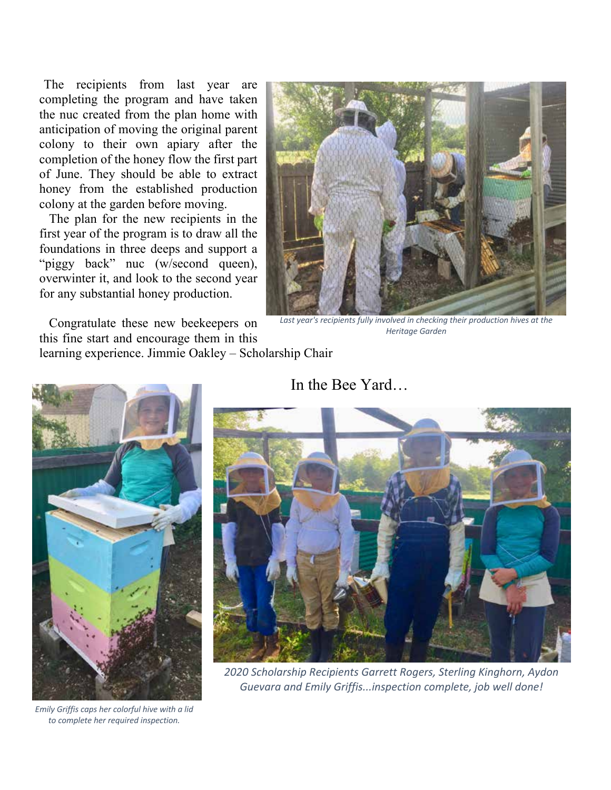The recipients from last year are completing the program and have taken the nuc created from the plan home with anticipation of moving the original parent colony to their own apiary after the completion of the honey flow the first part of June. They should be able to extract honey from the established production colony at the garden before moving.

 The plan for the new recipients in the first year of the program is to draw all the foundations in three deeps and support a "piggy back" nuc (w/second queen), overwinter it, and look to the second year for any substantial honey production.

 Congratulate these new beekeepers on this fine start and encourage them in this learning experience. Jimmie Oakley – Scholarship Chair



Last year's recipients fully involved in checking their production hives at the *Heritage Garden*



*Emily Griffis caps her colorful hive with a lid to complete her required inspection.*

# In the Bee Yard…



*2020 Scholarship Recipients Garrett Rogers, Sterling Kinghorn, Aydon Guevara and Emily Griffis...inspection complete, job well done!*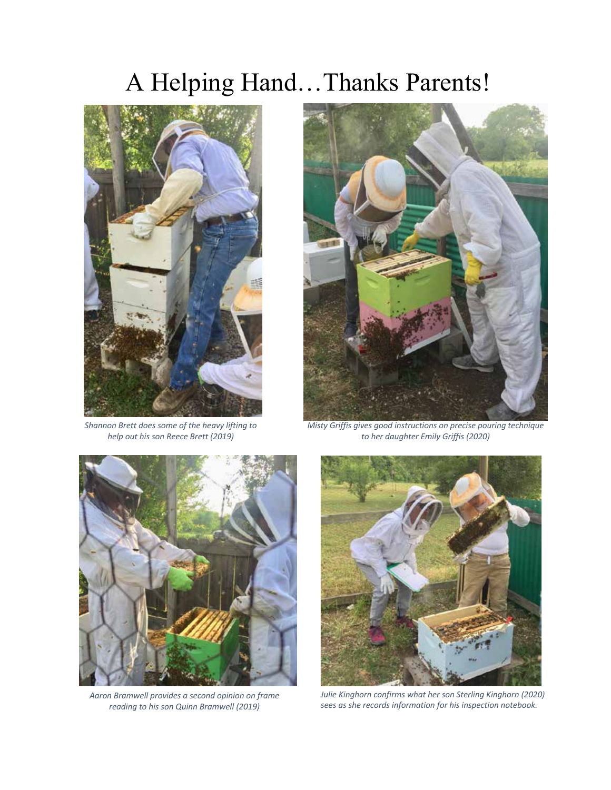# A Helping Hand…Thanks Parents!



*Shannon Brett does some of the heavy lifting to help out his son Reece Brett (2019)*



*Misty Griffis gives good instructions on precise pouring technique to her daughter Emily Griffis (2020)*



*Aaron Bramwell provides a second opinion on frame reading to his son Quinn Bramwell (2019)* 



*Julie Kinghorn confirms what her son Sterling Kinghorn (2020) sees as she records information for his inspection notebook.*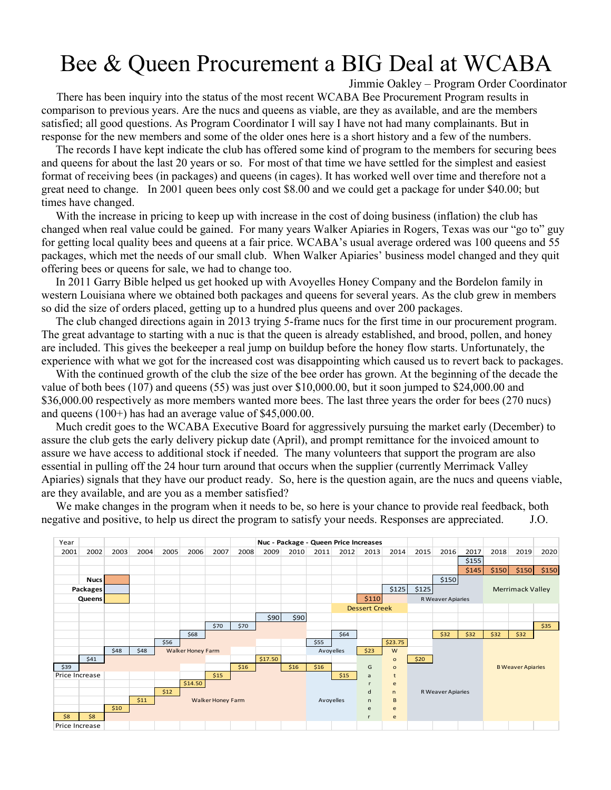# Bee & Queen Procurement a BIG Deal at WCABA

Jimmie Oakley – Program Order Coordinator

 There has been inquiry into the status of the most recent WCABA Bee Procurement Program results in comparison to previous years. Are the nucs and queens as viable, are they as available, and are the members satisfied; all good questions. As Program Coordinator I will say I have not had many complainants. But in response for the new members and some of the older ones here is a short history and a few of the numbers.

 The records I have kept indicate the club has offered some kind of program to the members for securing bees and queens for about the last 20 years or so. For most of that time we have settled for the simplest and easiest format of receiving bees (in packages) and queens (in cages). It has worked well over time and therefore not a great need to change. In 2001 queen bees only cost \$8.00 and we could get a package for under \$40.00; but times have changed.

 With the increase in pricing to keep up with increase in the cost of doing business (inflation) the club has changed when real value could be gained. For many years Walker Apiaries in Rogers, Texas was our "go to" guy for getting local quality bees and queens at a fair price. WCABA's usual average ordered was 100 queens and 55 packages, which met the needs of our small club. When Walker Apiaries' business model changed and they quit offering bees or queens for sale, we had to change too.

 In 2011 Garry Bible helped us get hooked up with Avoyelles Honey Company and the Bordelon family in western Louisiana where we obtained both packages and queens for several years. As the club grew in members so did the size of orders placed, getting up to a hundred plus queens and over 200 packages.

 The club changed directions again in 2013 trying 5-frame nucs for the first time in our procurement program. The great advantage to starting with a nuc is that the queen is already established, and brood, pollen, and honey are included. This gives the beekeeper a real jump on buildup before the honey flow starts. Unfortunately, the experience with what we got for the increased cost was disappointing which caused us to revert back to packages.

 With the continued growth of the club the size of the bee order has grown. At the beginning of the decade the value of both bees (107) and queens (55) was just over \$10,000.00, but it soon jumped to \$24,000.00 and \$36,000.00 respectively as more members wanted more bees. The last three years the order for bees (270 nucs) and queens (100+) has had an average value of \$45,000.00.

 Much credit goes to the WCABA Executive Board for aggressively pursuing the market early (December) to assure the club gets the early delivery pickup date (April), and prompt remittance for the invoiced amount to assure we have access to additional stock if needed. The many volunteers that support the program are also essential in pulling off the 24 hour turn around that occurs when the supplier (currently Merrimack Valley Apiaries) signals that they have our product ready. So, here is the question again, are the nucs and queens viable, are they available, and are you as a member satisfied?

 We make changes in the program when it needs to be, so here is your chance to provide real feedback, both negative and positive, to help us direct the program to satisfy your needs. Responses are appreciated. J.O.

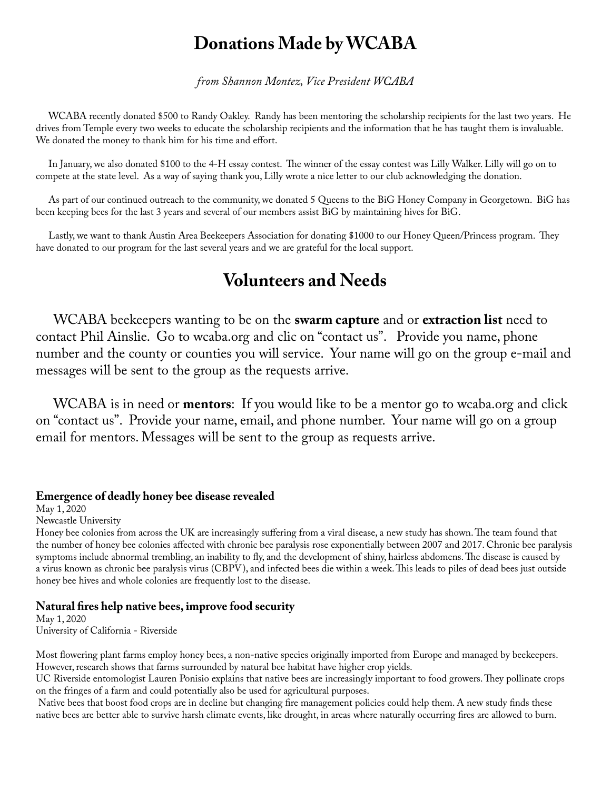# **Donations Made by WCABA**

*from Shannon Montez, Vice President WCABA*

 WCABA recently donated \$500 to Randy Oakley. Randy has been mentoring the scholarship recipients for the last two years. He drives from Temple every two weeks to educate the scholarship recipients and the information that he has taught them is invaluable. We donated the money to thank him for his time and effort.

 In January, we also donated \$100 to the 4-H essay contest. The winner of the essay contest was Lilly Walker. Lilly will go on to compete at the state level. As a way of saying thank you, Lilly wrote a nice letter to our club acknowledging the donation.

 As part of our continued outreach to the community, we donated 5 Queens to the BiG Honey Company in Georgetown. BiG has been keeping bees for the last 3 years and several of our members assist BiG by maintaining hives for BiG.

 Lastly, we want to thank Austin Area Beekeepers Association for donating \$1000 to our Honey Queen/Princess program. They have donated to our program for the last several years and we are grateful for the local support.

# **Volunteers and Needs**

 WCABA beekeepers wanting to be on the **swarm capture** and or **extraction list** need to contact Phil Ainslie. Go to wcaba.org and clic on "contact us". Provide you name, phone number and the county or counties you will service. Your name will go on the group e-mail and messages will be sent to the group as the requests arrive.

 WCABA is in need or **mentors**: If you would like to be a mentor go to wcaba.org and click on "contact us". Provide your name, email, and phone number. Your name will go on a group email for mentors. Messages will be sent to the group as requests arrive.

#### **Emergence of deadly honey bee disease revealed**

May 1, 2020

Newcastle University

Honey bee colonies from across the UK are increasingly suffering from a viral disease, a new study has shown. The team found that the number of honey bee colonies affected with chronic bee paralysis rose exponentially between 2007 and 2017. Chronic bee paralysis symptoms include abnormal trembling, an inability to fly, and the development of shiny, hairless abdomens. The disease is caused by a virus known as chronic bee paralysis virus (CBPV), and infected bees die within a week. This leads to piles of dead bees just outside honey bee hives and whole colonies are frequently lost to the disease.

## **Natural fires help native bees, improve food security**

May 1, 2020 University of California - Riverside

Most flowering plant farms employ honey bees, a non-native species originally imported from Europe and managed by beekeepers. However, research shows that farms surrounded by natural bee habitat have higher crop yields.

UC Riverside entomologist Lauren Ponisio explains that native bees are increasingly important to food growers. They pollinate crops on the fringes of a farm and could potentially also be used for agricultural purposes.

 Native bees that boost food crops are in decline but changing fire management policies could help them. A new study finds these native bees are better able to survive harsh climate events, like drought, in areas where naturally occurring fires are allowed to burn.